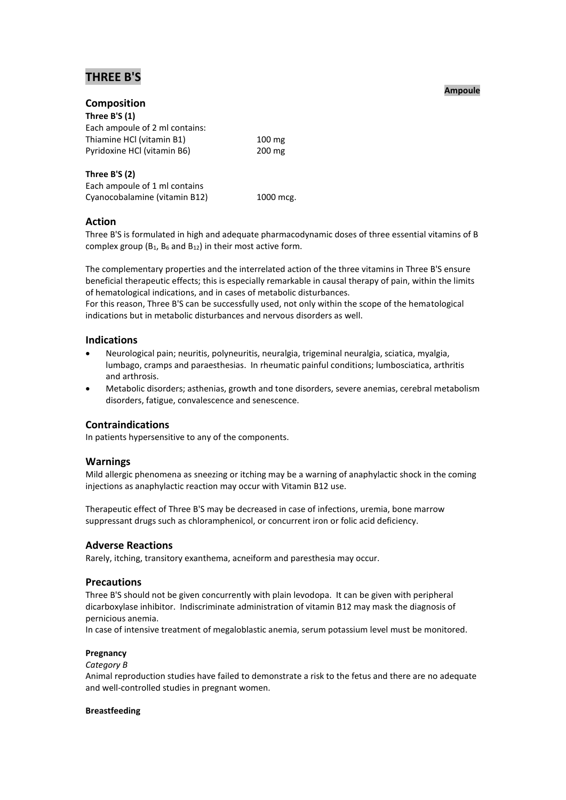# **THREE B'S**

# **Composition**

| $100 \text{ mg}$ |
|------------------|
| $200 \text{ mg}$ |
|                  |

## **Three B'S (2)**

Each ampoule of 1 ml contains Cyanocobalamine (vitamin B12) 1000 mcg.

### **Action**

Three B'S is formulated in high and adequate pharmacodynamic doses of three essential vitamins of B complex group  $(B_1, B_6 \text{ and } B_{12})$  in their most active form.

The complementary properties and the interrelated action of the three vitamins in Three B'S ensure beneficial therapeutic effects; this is especially remarkable in causal therapy of pain, within the limits of hematological indications, and in cases of metabolic disturbances.

For this reason, Three B'S can be successfully used, not only within the scope of the hematological indications but in metabolic disturbances and nervous disorders as well.

# **Indications**

- Neurological pain; neuritis, polyneuritis, neuralgia, trigeminal neuralgia, sciatica, myalgia, lumbago, cramps and paraesthesias. In rheumatic painful conditions; lumbosciatica, arthritis and arthrosis.
- Metabolic disorders; asthenias, growth and tone disorders, severe anemias, cerebral metabolism disorders, fatigue, convalescence and senescence.

# **Contraindications**

In patients hypersensitive to any of the components.

### **Warnings**

Mild allergic phenomena as sneezing or itching may be a warning of anaphylactic shock in the coming injections as anaphylactic reaction may occur with Vitamin B12 use.

Therapeutic effect of Three B'S may be decreased in case of infections, uremia, bone marrow suppressant drugs such as chloramphenicol, or concurrent iron or folic acid deficiency.

### **Adverse Reactions**

Rarely, itching, transitory exanthema, acneiform and paresthesia may occur.

### **Precautions**

Three B'S should not be given concurrently with plain levodopa. It can be given with peripheral dicarboxylase inhibitor. Indiscriminate administration of vitamin B12 may mask the diagnosis of pernicious anemia.

In case of intensive treatment of megaloblastic anemia, serum potassium level must be monitored.

#### **Pregnancy**

#### *Category B*

Animal reproduction studies have failed to demonstrate a risk to the fetus and there are no adequate and well-controlled studies in pregnant women.

#### **Breastfeeding**

#### **Ampoule**